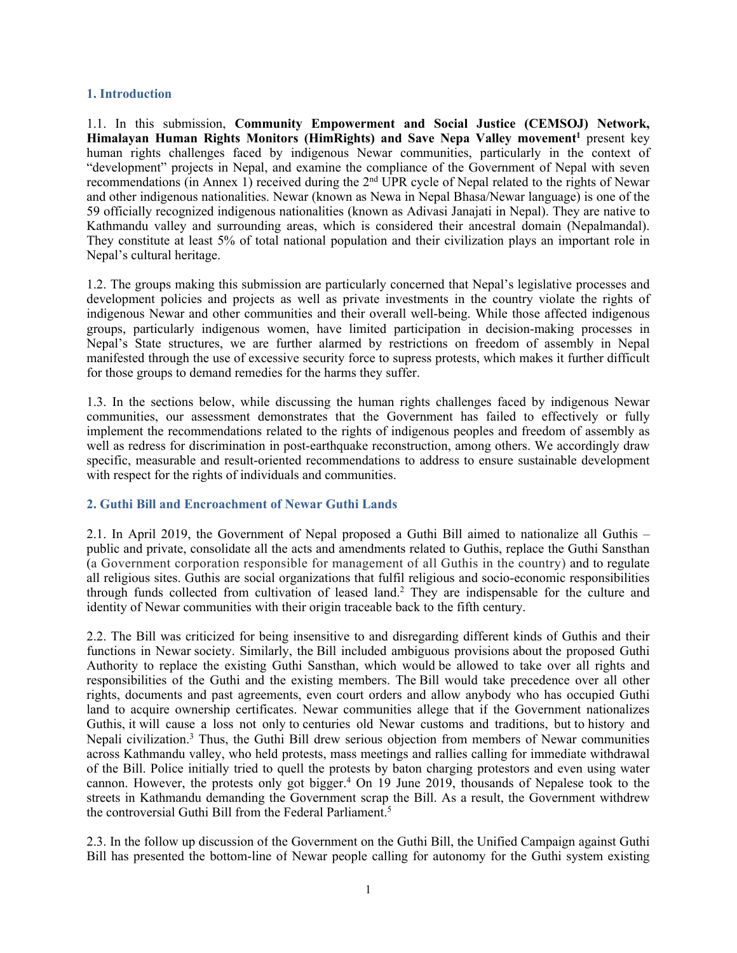#### **1. Introduction**

1.1. In this submission, **Community Empowerment and Social Justice (CEMSOJ) Network, Himalayan Human Rights Monitors (HimRights) and Save Nepa Valley movement 1** presen<sup>t</sup> key human rights challenges faced by indigenous Newar communities, particularly in the context of "development" projects in Nepal, and examine the compliance of the Government of Nepal with seven recommendations (in Annex 1) received during the <sup>2</sup>nd UPR cycle of Nepal related to the rights of Newar and other indigenous nationalities. Newar (known as Newa in Nepal Bhasa/Newar language) is one of the 59 officially recognized indigenous nationalities (known as Adivasi Janajati in Nepal). They are native to Kathmandu valley and surrounding areas, which is considered their ancestral domain (Nepalmandal). They constitute at least 5% of total national population and their civilization plays an important role in Nepal'<sup>s</sup> cultural heritage.

1.2. The groups making this submission are particularly concerned that Nepal'<sup>s</sup> legislative processes and development policies and projects as well as private investments in the country violate the rights of indigenous Newar and other communities and their overall well-being. While those affected indigenous groups, particularly indigenous women, have limited participation in decision-making processes in Nepal'<sup>s</sup> State structures, we are further alarmed by restrictions on freedom of assembly in Nepal manifested through the use of excessive security force to supress protests, which makes it further difficult for those groups to demand remedies for the harms they suffer.

1.3. In the sections below, while discussing the human rights challenges faced by indigenous Newar communities, our assessment demonstrates that the Government has failed to effectively or fully implement the recommendations related to the rights of indigenous peoples and freedom of assembly as well as redress for discrimination in post-earthquake reconstruction, among others. We accordingly draw specific, measurable and result-oriented recommendations to address to ensure sustainable development with respec<sup>t</sup> for the rights of individuals and communities.

#### **2. Guthi Bill and Encroachment of Newar Guthi Lands**

2.1. In April 2019, the Government of Nepal proposed <sup>a</sup> Guthi Bill aimed to nationalize all Guthis – public and private, consolidate all the acts and amendments related to Guthis, replace the Guthi Sansthan (a Government corporation responsible for managemen<sup>t</sup> of all Guthis in the country) and to regulate all religious sites. Guthis are social organizations that fulfil religious and socio-economic responsibilities through funds collected from cultivation of leased land. 2 They are indispensable for the culture and identity of Newar communities with their origin traceable back to the fifth century.

2.2. The Bill was criticized for being insensitive to and disregarding different kinds of Guthis and their functions in Newar society. Similarly, the Bill included ambiguous provisions about the proposed Guthi Authority to replace the existing Guthi Sansthan, which would be allowed to take over all rights and responsibilities of the Guthi and the existing members. The Bill would take precedence over all other rights, documents and pas<sup>t</sup> agreements, even court orders and allow anybody who has occupied Guthi land to acquire ownership certificates. Newar communities allege that if the Government nationalizes Guthis, it will cause <sup>a</sup> loss not only to centuries old Newar customs and traditions, but to history and Nepali civilization. 3 Thus, the Guthi Bill drew serious objection from members of Newar communities across Kathmandu valley, who held protests, mass meetings and rallies calling for immediate withdrawal of the Bill. Police initially tried to quell the protests by baton charging protestors and even using water cannon. However, the protests only go<sup>t</sup> bigger. <sup>4</sup> On 19 June 2019, thousands of Nepalese took to the streets in Kathmandu demanding the Government scrap the Bill. As <sup>a</sup> result, the Government withdrew the controversial Guthi Bill from the Federal Parliament. 5

2.3. In the follow up discussion of the Government on the Guthi Bill, the Unified Campaign against Guthi Bill has presented the bottom-line of Newar people calling for autonomy for the Guthi system existing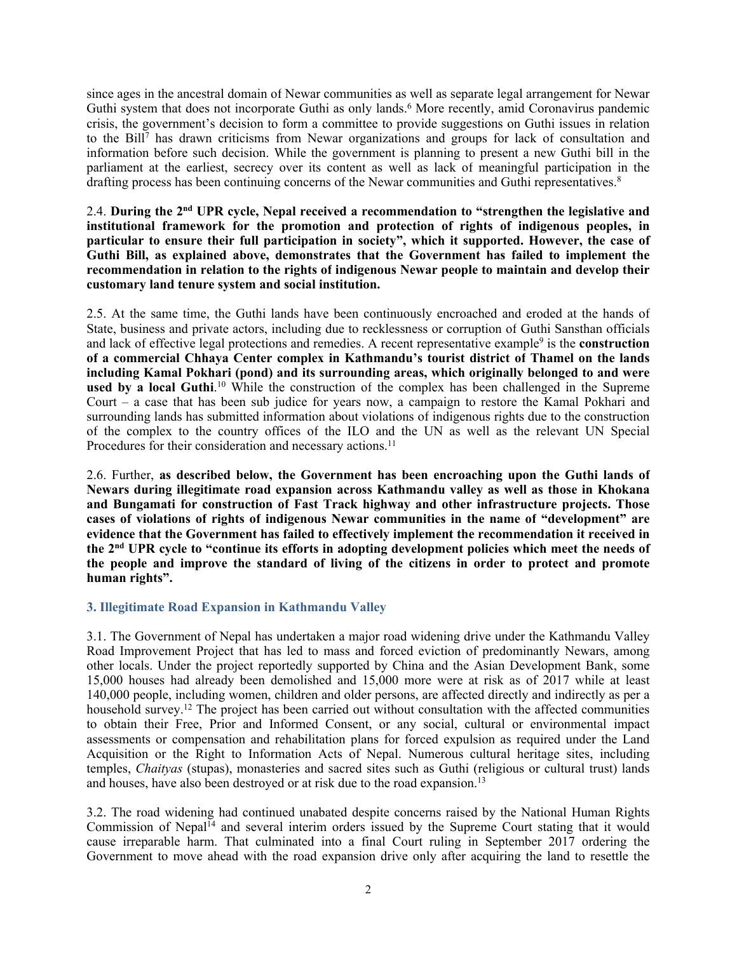since ages in the ancestral domain of Newar communities as well as separate legal arrangemen<sup>t</sup> for Newar Guthi system that does not incorporate Guthi as only lands. <sup>6</sup> More recently, amid Coronavirus pandemic crisis, the government'<sup>s</sup> decision to form <sup>a</sup> committee to provide suggestions on Guthi issues in relation to the Bill 7 has drawn criticisms from Newar organizations and groups for lack of consultation and information before such decision. While the governmen<sup>t</sup> is planning to presen<sup>t</sup> <sup>a</sup> new Guthi bill in the parliament at the earliest, secrecy over its content as well as lack of meaningful participation in the drafting process has been continuing concerns of the Newar communities and Guthi representatives. 8

#### 2.4. **During the 2nd UPR cycle, Nepal received <sup>a</sup> recommendation to "strengthen the legislative and institutional framework for the promotion and protection of rights of indigenous peoples, in** particular to ensure their full participation in society", which it supported. However, the case of **Guthi Bill, as explained above, demonstrates that the Government has failed to implement the recommendation in relation to the rights of indigenous Newar people to maintain and develop their customary land tenure system and social institution.**

2.5. At the same time, the Guthi lands have been continuously encroached and eroded at the hands of State, business and private actors, including due to recklessness or corruption of Guthi Sansthan officials and lack of effective legal protections and remedies. <sup>A</sup> recent representative example<sup>9</sup> is the **construction of <sup>a</sup> commercial Chhaya Center complex in Kathmandu'<sup>s</sup> tourist district of Thamel on the lands including Kamal Pokhari (pond) and its surrounding areas, which originally belonged to and were used by <sup>a</sup> local Guthi**. <sup>10</sup> While the construction of the complex has been challenged in the Supreme Court – <sup>a</sup> case that has been sub judice for years now, <sup>a</sup> campaign to restore the Kamal Pokhari and surrounding lands has submitted information about violations of indigenous rights due to the construction of the complex to the country offices of the ILO and the UN as well as the relevant UN Special Procedures for their consideration and necessary actions.<sup>11</sup>

2.6. Further, **as described below, the Government has been encroaching upon the Guthi lands of Newars during illegitimate road expansion across Kathmandu valley as well as those in Khokana and Bungamati for construction of Fast Track highway and other infrastructure projects. Those cases of violations of rights of indigenous Newar communities in the name of "development" are evidence that the Government has failed to effectively implement the recommendation it received in** the 2<sup>nd</sup> UPR cycle to "continue its efforts in adopting development policies which meet the needs of the people and improve the standard of living of the citizens in order to protect and promote **human rights".**

# **3. Illegitimate Road Expansion in Kathmandu Valley**

3.1. The Government of Nepal has undertaken <sup>a</sup> major road widening drive under the Kathmandu Valley Road Improvement Project that has led to mass and forced eviction of predominantly Newars, among other locals. Under the project reportedly supported by China and the Asian Development Bank, some 15,000 houses had already been demolished and 15,000 more were at risk as of 2017 while at least 140,000 people, including women, children and older persons, are affected directly and indirectly as per <sup>a</sup> household survey.<sup>12</sup> The project has been carried out without consultation with the affected communities to obtain their Free, Prior and Informed Consent, or any social, cultural or environmental impact assessments or compensation and rehabilitation plans for forced expulsion as required under the Land Acquisition or the Right to Information Acts of Nepal. Numerous cultural heritage sites, including temples, *Chaityas* (stupas), monasteries and sacred sites such as Guthi (religious or cultural trust) lands and houses, have also been destroyed or at risk due to the road expansion. 13

3.2. The road widening had continued unabated despite concerns raised by the National Human Rights Commission of Nepal<sup>14</sup> and several interim orders issued by the Supreme Court stating that it would cause irreparable harm. That culminated into <sup>a</sup> final Court ruling in September 2017 ordering the Government to move ahead with the road expansion drive only after acquiring the land to resettle the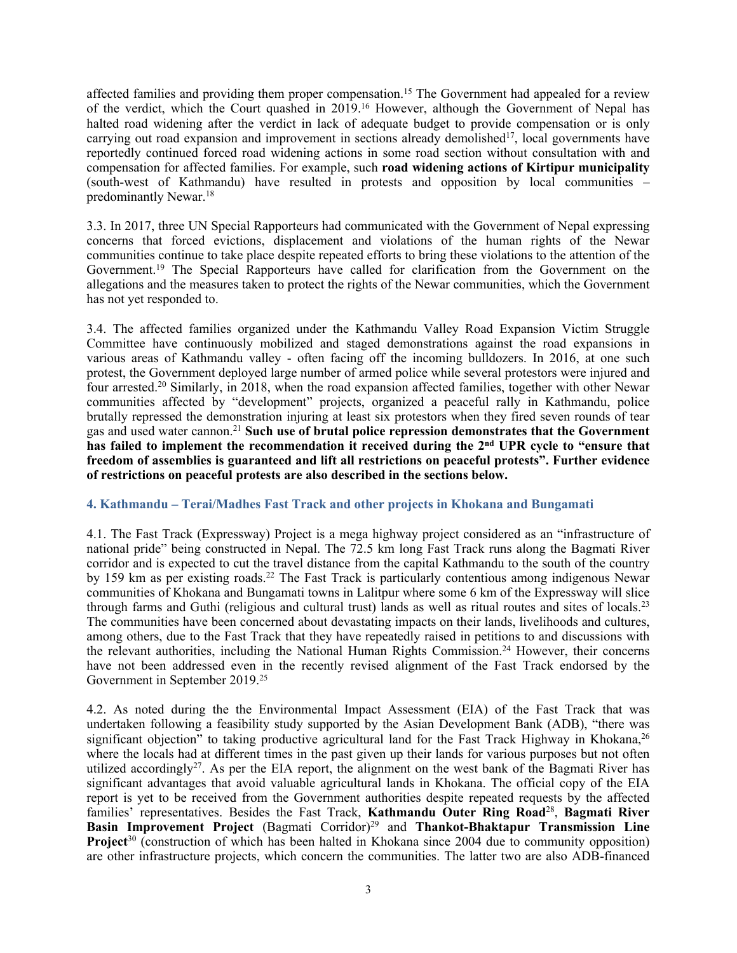affected families and providing them proper compensation.<sup>15</sup> The Government had appealed for a review of the verdict, which the Court quashed in 2019. <sup>16</sup> However, although the Government of Nepal has halted road widening after the verdict in lack of adequate budget to provide compensation or is only carrying out road expansion and improvement in sections already demolished<sup>17</sup>, local governments have reportedly continued forced road widening actions in some road section without consultation with and compensation for affected families. For example, such **road widening actions of Kirtipur municipality** (south-west of Kathmandu) have resulted in protests and opposition by local communities – predominantly Newar. 18

3.3. In 2017, three UN Special Rapporteurs had communicated with the Government of Nepal expressing concerns that forced evictions, displacement and violations of the human rights of the Newar communities continue to take place despite repeated efforts to bring these violations to the attention of the Government. 19 The Special Rapporteurs have called for clarification from the Government on the allegations and the measures taken to protect the rights of the Newar communities, which the Government has not ye<sup>t</sup> responded to.

3.4. The affected families organized under the Kathmandu Valley Road Expansion Victim Struggle Committee have continuously mobilized and staged demonstrations against the road expansions in various areas of Kathmandu valley - often facing off the incoming bulldozers. In 2016, at one such protest, the Government deployed large number of armed police while several protestors were injured and four arrested.<sup>20</sup> Similarly, in 2018, when the road expansion affected families, together with other Newar communities affected by "development" projects, organized <sup>a</sup> peaceful rally in Kathmandu, police brutally repressed the demonstration injuring at least six protestors when they fired seven rounds of tear gas and used water cannon. 21 **Such use of brutal police repression demonstrates that the Government** has failed to implement the recommendation it received during the 2<sup>nd</sup> UPR cycle to "ensure that freedom of assemblies is guaranteed and lift all restrictions on peaceful protests". Further evidence **of restrictions on peaceful protests are also described in the sections below.**

# **4. Kathmandu – Terai/Madhes Fast Track and other projects in Khokana and Bungamati**

4.1. The Fast Track (Expressway) Project is <sup>a</sup> mega highway project considered as an "infrastructure of national pride" being constructed in Nepal. The 72.5 km long Fast Track runs along the Bagmati River corridor and is expected to cut the travel distance from the capital Kathmandu to the south of the country by 159 km as per existing roads. 22 The Fast Track is particularly contentious among indigenous Newar communities of Khokana and Bungamati towns in Lalitpur where some 6 km of the Expressway will slice through farms and Guthi (religious and cultural trust) lands as well as ritual routes and sites of locals.<sup>23</sup> The communities have been concerned about devastating impacts on their lands, livelihoods and cultures, among others, due to the Fast Track that they have repeatedly raised in petitions to and discussions with the relevant authorities, including the National Human Rights Commission. <sup>24</sup> However, their concerns have not been addressed even in the recently revised alignment of the Fast Track endorsed by the Government in September 2019.<sup>25</sup>

4.2. As noted during the the Environmental Impact Assessment (EIA) of the Fast Track that was undertaken following <sup>a</sup> feasibility study supported by the Asian Development Bank (ADB), "there was significant objection" to taking productive agricultural land for the Fast Track Highway in Khokana, 26 where the locals had at different times in the pas<sup>t</sup> given up their lands for various purposes but not often utilized accordingly<sup>27</sup>. As per the EIA report, the alignment on the west bank of the Bagmati River has significant advantages that avoid valuable agricultural lands in Khokana. The official copy of the EIA repor<sup>t</sup> is ye<sup>t</sup> to be received from the Government authorities despite repeated requests by the affected families' representatives. Besides the Fast Track, **Kathmandu Outer Ring Road**<sup>28</sup> , **Bagmati River Basin Improvement Project** (Bagmati Corridor) 29 and **Thankot-Bhaktapur Transmission Line Project**<sup>30</sup> (construction of which has been halted in Khokana since 2004 due to community opposition) are other infrastructure projects, which concern the communities. The latter two are also ADB-financed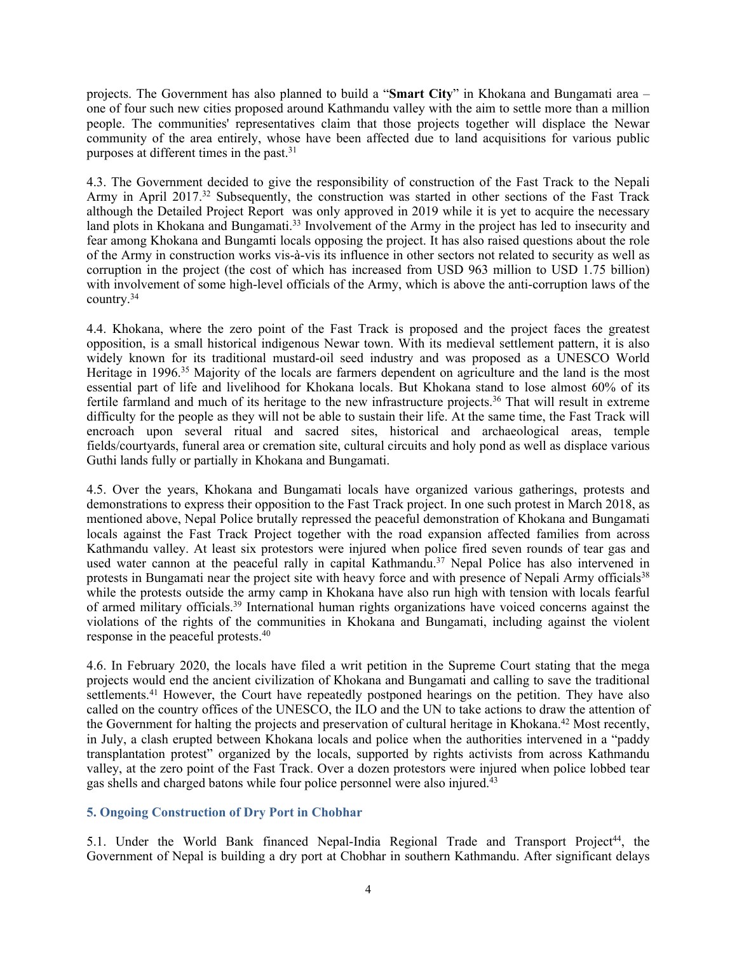projects. The Government has also planned to build <sup>a</sup> "**Smart City**" in Khokana and Bungamati area – one of four such new cities proposed around Kathmandu valley with the aim to settle more than <sup>a</sup> million people. The communities' representatives claim that those projects together will displace the Newar community of the area entirely, whose have been affected due to land acquisitions for various public purposes at different times in the past. 31

4.3. The Government decided to give the responsibility of construction of the Fast Track to the Nepali Army in April 2017.<sup>32</sup> Subsequently, the construction was started in other sections of the Fast Track although the Detailed Project Report was only approved in 2019 while it is ye<sup>t</sup> to acquire the necessary land plots in Khokana and Bungamati.<sup>33</sup> Involvement of the Army in the project has led to insecurity and fear among Khokana and Bungamti locals opposing the project. It has also raised questions about the role of the Army in construction works vis-à-vis its influence in other sectors not related to security as well as corruption in the project (the cost of which has increased from USD 963 million to USD 1.75 billion) with involvement of some high-level officials of the Army, which is above the anti-corruption laws of the country. 34

4.4. Khokana, where the zero point of the Fast Track is proposed and the project faces the greatest opposition, is <sup>a</sup> small historical indigenous Newar town. With its medieval settlement pattern, it is also widely known for its traditional mustard-oil seed industry and was proposed as <sup>a</sup> UNESCO World Heritage in 1996.<sup>35</sup> Majority of the locals are farmers dependent on agriculture and the land is the most essential par<sup>t</sup> of life and livelihood for Khokana locals. But Khokana stand to lose almost 60% of its fertile farmland and much of its heritage to the new infrastructure projects. 36 That will result in extreme difficulty for the people as they will not be able to sustain their life. At the same time, the Fast Track will encroach upon several ritual and sacred sites, historical and archaeological areas, temple fields/courtyards, funeral area or cremation site, cultural circuits and holy pond as well as displace various Guthi lands fully or partially in Khokana and Bungamati.

4.5. Over the years, Khokana and Bungamati locals have organized various gatherings, protests and demonstrations to express their opposition to the Fast Track project. In one such protest in March 2018, as mentioned above, Nepal Police brutally repressed the peaceful demonstration of Khokana and Bungamati locals against the Fast Track Project together with the road expansion affected families from across Kathmandu valley. At least six protestors were injured when police fired seven rounds of tear gas and used water cannon at the peaceful rally in capital Kathmandu.<sup>37</sup> Nepal Police has also intervened in protests in Bungamati near the project site with heavy force and with presence of Nepali Army officials<sup>38</sup> while the protests outside the army camp in Khokana have also run high with tension with locals fearful of armed military officials. 39 International human rights organizations have voiced concerns against the violations of the rights of the communities in Khokana and Bungamati, including against the violent response in the peaceful protests. 40

4.6. In February 2020, the locals have filed <sup>a</sup> writ petition in the Supreme Court stating that the mega projects would end the ancient civilization of Khokana and Bungamati and calling to save the traditional settlements.<sup>41</sup> However, the Court have repeatedly postponed hearings on the petition. They have also called on the country offices of the UNESCO, the ILO and the UN to take actions to draw the attention of the Government for halting the projects and preservation of cultural heritage in Khokana. <sup>42</sup> Most recently, in July, <sup>a</sup> clash erupted between Khokana locals and police when the authorities intervened in <sup>a</sup> "paddy transplantation protest" organized by the locals, supported by rights activists from across Kathmandu valley, at the zero point of the Fast Track. Over <sup>a</sup> dozen protestors were injured when police lobbed tear gas shells and charged batons while four police personnel were also injured. 43

# **5. Ongoing Construction of Dry Port in Chobhar**

5.1. Under the World Bank financed Nepal-India Regional Trade and Transport Project<sup>44</sup>, the Government of Nepal is building <sup>a</sup> dry por<sup>t</sup> at Chobhar in southern Kathmandu. After significant delays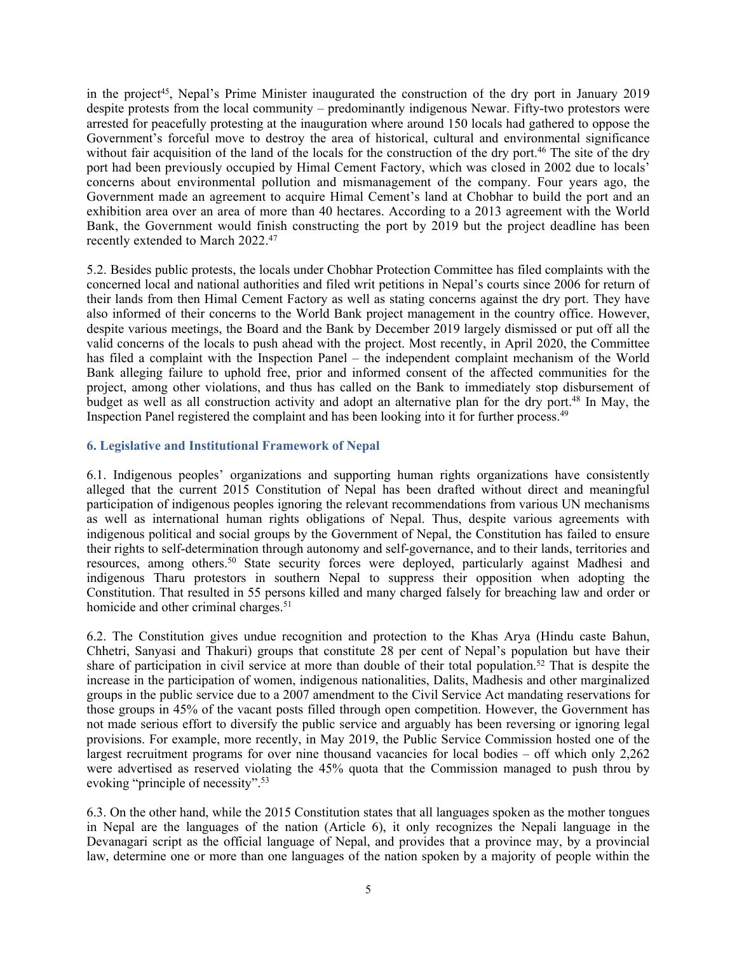in the project 45 , Nepal'<sup>s</sup> Prime Minister inaugurated the construction of the dry por<sup>t</sup> in January 2019 despite protests from the local community – predominantly indigenous Newar. Fifty-two protestors were arrested for peacefully protesting at the inauguration where around 150 locals had gathered to oppose the Government'<sup>s</sup> forceful move to destroy the area of historical, cultural and environmental significance without fair acquisition of the land of the locals for the construction of the dry port.<sup>46</sup> The site of the dry por<sup>t</sup> had been previously occupied by Himal Cement Factory, which was closed in 2002 due to locals' concerns about environmental pollution and mismanagement of the company. Four years ago, the Government made an agreemen<sup>t</sup> to acquire Himal Cement'<sup>s</sup> land at Chobhar to build the por<sup>t</sup> and an exhibition area over an area of more than 40 hectares. According to <sup>a</sup> 2013 agreemen<sup>t</sup> with the World Bank, the Government would finish constructing the por<sup>t</sup> by 2019 but the project deadline has been recently extended to March 2022. 47

5.2. Besides public protests, the locals under Chobhar Protection Committee has filed complaints with the concerned local and national authorities and filed writ petitions in Nepal'<sup>s</sup> courts since 2006 for return of their lands from then Himal Cement Factory as well as stating concerns against the dry port. They have also informed of their concerns to the World Bank project managemen<sup>t</sup> in the country office. However, despite various meetings, the Board and the Bank by December 2019 largely dismissed or pu<sup>t</sup> off all the valid concerns of the locals to push ahead with the project. Most recently, in April 2020, the Committee has filed <sup>a</sup> complaint with the Inspection Panel – the independent complaint mechanism of the World Bank alleging failure to uphold free, prior and informed consent of the affected communities for the project, among other violations, and thus has called on the Bank to immediately stop disbursement of budget as well as all construction activity and adopt an alternative plan for the dry port. 48 In May, the Inspection Panel registered the complaint and has been looking into it for further process. 49

# **6. Legislative and Institutional Framework of Nepal**

6.1. Indigenous peoples' organizations and supporting human rights organizations have consistently alleged that the current 2015 Constitution of Nepal has been drafted without direct and meaningful participation of indigenous peoples ignoring the relevant recommendations from various UN mechanisms as well as international human rights obligations of Nepal. Thus, despite various agreements with indigenous political and social groups by the Government of Nepal, the Constitution has failed to ensure their rights to self-determination through autonomy and self-governance, and to their lands, territories and resources, among others. 50 State security forces were deployed, particularly against Madhesi and indigenous Tharu protestors in southern Nepal to suppress their opposition when adopting the Constitution. That resulted in 55 persons killed and many charged falsely for breaching law and order or homicide and other criminal charges.<sup>51</sup>

6.2. The Constitution gives undue recognition and protection to the Khas Arya (Hindu caste Bahun, Chhetri, Sanyasi and Thakuri) groups that constitute 28 per cent of Nepal'<sup>s</sup> population but have their share of participation in civil service at more than double of their total population.<sup>52</sup> That is despite the increase in the participation of women, indigenous nationalities, Dalits, Madhesis and other marginalized groups in the public service due to <sup>a</sup> 2007 amendment to the Civil Service Act mandating reservations for those groups in 45% of the vacant posts filled through open competition. However, the Government has not made serious effort to diversify the public service and arguably has been reversing or ignoring legal provisions. For example, more recently, in May 2019, the Public Service Commission hosted one of the largest recruitment programs for over nine thousand vacancies for local bodies – off which only 2,262 were advertised as reserved violating the 45% quota that the Commission managed to push throu by evoking "principle of necessity". 53

6.3. On the other hand, while the 2015 Constitution states that all languages spoken as the mother tongues in Nepal are the languages of the nation (Article 6), it only recognizes the Nepali language in the Devanagari script as the official language of Nepal, and provides that <sup>a</sup> province may, by <sup>a</sup> provincial law, determine one or more than one languages of the nation spoken by <sup>a</sup> majority of people within the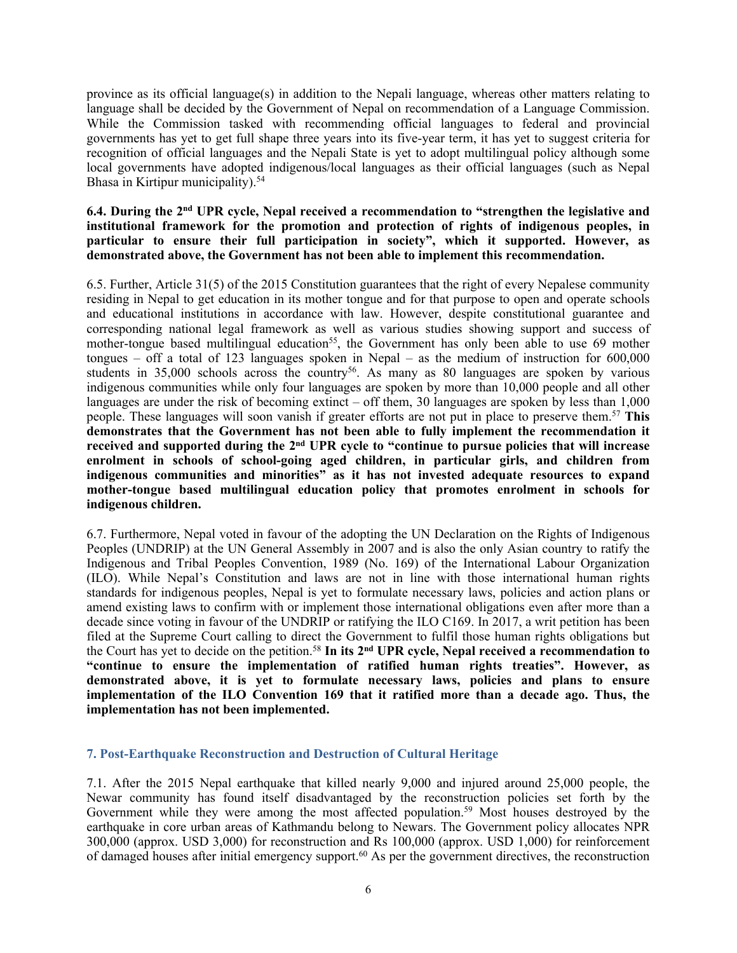province as its official language(s) in addition to the Nepali language, whereas other matters relating to language shall be decided by the Government of Nepal on recommendation of <sup>a</sup> Language Commission. While the Commission tasked with recommending official languages to federal and provincial governments has ye<sup>t</sup> to ge<sup>t</sup> full shape three years into its five-year term, it has ye<sup>t</sup> to sugges<sup>t</sup> criteria for recognition of official languages and the Nepali State is ye<sup>t</sup> to adopt multilingual policy although some local governments have adopted indigenous/local languages as their official languages (such as Nepal Bhasa in Kirtipur municipality). 54

#### **6.4. During the 2nd UPR cycle, Nepal received <sup>a</sup> recommendation to "strengthen the legislative and institutional framework for the promotion and protection of rights of indigenous peoples, in particular to ensure their full participation in society", which it supported. However, as demonstrated above, the Government has not been able to implement this recommendation.**

6.5. Further, Article 31(5) of the 2015 Constitution guarantees that the right of every Nepalese community residing in Nepal to ge<sup>t</sup> education in its mother tongue and for that purpose to open and operate schools and educational institutions in accordance with law. However, despite constitutional guarantee and corresponding national legal framework as well as various studies showing suppor<sup>t</sup> and success of mother-tongue based multilingual education<sup>55</sup>, the Government has only been able to use 69 mother tongues – off a total of 123 languages spoken in Nepal – as the medium of instruction for  $600,000$ students in 35,000 schools across the country<sup>56</sup>. As many as 80 languages are spoken by various indigenous communities while only four languages are spoken by more than 10,000 people and all other languages are under the risk of becoming extinct – off them, 30 languages are spoken by less than 1,000 people. These languages will soon vanish if greater efforts are not pu<sup>t</sup> in place to preserve them. <sup>57</sup> **This demonstrates that the Government has not been able to fully implement the recommendation it** received and supported during the 2<sup>nd</sup> UPR cycle to "continue to pursue policies that will increase **enrolment in schools of school-going aged children, in particular girls, and children from indigenous communities and minorities" as it has not invested adequate resources to expand mother-tongue based multilingual education policy that promotes enrolment in schools for indigenous children.**

6.7. Furthermore, Nepal voted in favour of the adopting the UN Declaration on the Rights of Indigenous Peoples (UNDRIP) at the UN General Assembly in 2007 and is also the only Asian country to ratify the Indigenous and Tribal Peoples Convention, 1989 (No. 169) of the International Labour Organization (ILO). While Nepal'<sup>s</sup> Constitution and laws are not in line with those international human rights standards for indigenous peoples, Nepal is ye<sup>t</sup> to formulate necessary laws, policies and action plans or amend existing laws to confirm with or implement those international obligations even after more than <sup>a</sup> decade since voting in favour of the UNDRIP or ratifying the ILO C169. In 2017, <sup>a</sup> writ petition has been filed at the Supreme Court calling to direct the Government to fulfil those human rights obligations but the Court has ye<sup>t</sup> to decide on the petition. 58 **In its 2nd UPR cycle, Nepal received <sup>a</sup> recommendation to "continue to ensure the implementation of ratified human rights treaties". However, as demonstrated above, it is yet to formulate necessary laws, policies and plans to ensure implementation of the ILO Convention 169 that it ratified more than <sup>a</sup> decade ago. Thus, the implementation has not been implemented.**

# **7. Post-Earthquake Reconstruction and Destruction of Cultural Heritage**

7.1. After the 2015 Nepal earthquake that killed nearly 9,000 and injured around 25,000 people, the Newar community has found itself disadvantaged by the reconstruction policies set forth by the Government while they were among the most affected population. <sup>59</sup> Most houses destroyed by the earthquake in core urban areas of Kathmandu belong to Newars. The Government policy allocates NPR 300,000 (approx. USD 3,000) for reconstruction and Rs 100,000 (approx. USD 1,000) for reinforcement of damaged houses after initial emergency support. <sup>60</sup> As per the governmen<sup>t</sup> directives, the reconstruction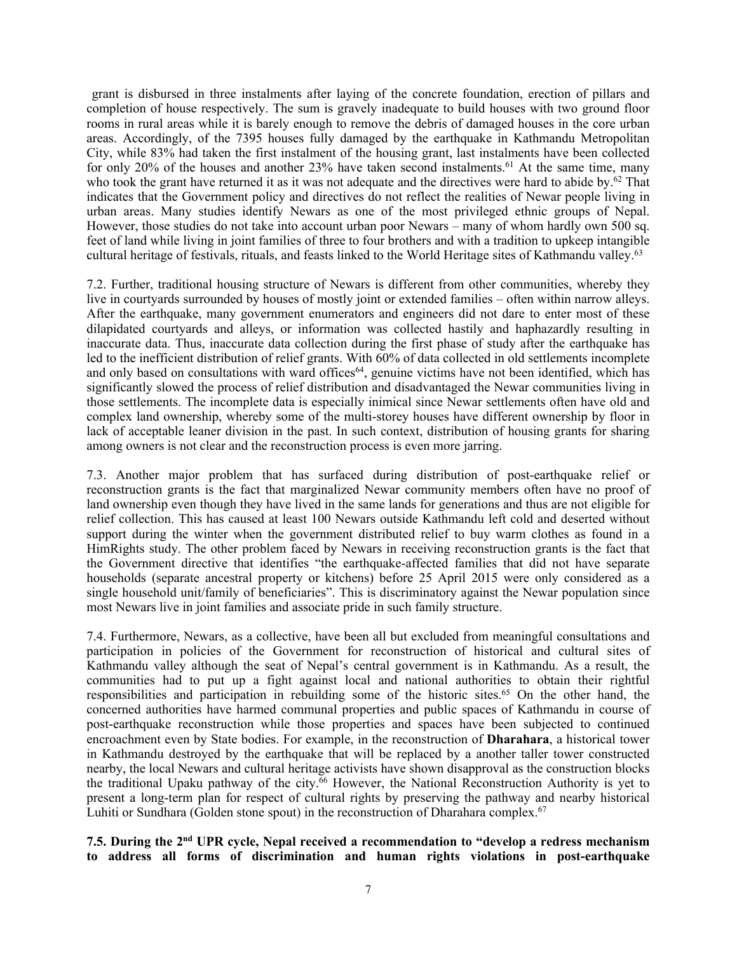gran<sup>t</sup> is disbursed in three instalments after laying of the concrete foundation, erection of pillars and completion of house respectively. The sum is gravely inadequate to build houses with two ground floor rooms in rural areas while it is barely enough to remove the debris of damaged houses in the core urban areas. Accordingly, of the 7395 houses fully damaged by the earthquake in Kathmandu Metropolitan City, while 83% had taken the first instalment of the housing grant, last instalments have been collected for only 20% of the houses and another 23% have taken second instalments.<sup>61</sup> At the same time, many who took the grant have returned it as it was not adequate and the directives were hard to abide by.<sup>62</sup> That indicates that the Government policy and directives do not reflect the realities of Newar people living in urban areas. Many studies identify Newars as one of the most privileged ethnic groups of Nepal. However, those studies do not take into account urban poor Newars – many of whom hardly own 500 sq. feet of land while living in joint families of three to four brothers and with <sup>a</sup> tradition to upkeep intangible cultural heritage of festivals, rituals, and feasts linked to the World Heritage sites of Kathmandu valley. 63

7.2. Further, traditional housing structure of Newars is different from other communities, whereby they live in courtyards surrounded by houses of mostly joint or extended families – often within narrow alleys. After the earthquake, many governmen<sup>t</sup> enumerators and engineers did not dare to enter most of these dilapidated courtyards and alleys, or information was collected hastily and haphazardly resulting in inaccurate data. Thus, inaccurate data collection during the first phase of study after the earthquake has led to the inefficient distribution of relief grants. With 60% of data collected in old settlements incomplete and only based on consultations with ward offices<sup>64</sup>, genuine victims have not been identified, which has significantly slowed the process of relief distribution and disadvantaged the Newar communities living in those settlements. The incomplete data is especially inimical since Newar settlements often have old and complex land ownership, whereby some of the multi-storey houses have different ownership by floor in lack of acceptable leaner division in the past. In such context, distribution of housing grants for sharing among owners is not clear and the reconstruction process is even more jarring.

7.3. Another major problem that has surfaced during distribution of post-earthquake relief or reconstruction grants is the fact that marginalized Newar community members often have no proof of land ownership even though they have lived in the same lands for generations and thus are not eligible for relief collection. This has caused at least 100 Newars outside Kathmandu left cold and deserted without suppor<sup>t</sup> during the winter when the governmen<sup>t</sup> distributed relief to buy warm clothes as found in <sup>a</sup> HimRights study. The other problem faced by Newars in receiving reconstruction grants is the fact that the Government directive that identifies "the earthquake-affected families that did not have separate households (separate ancestral property or kitchens) before 25 April 2015 were only considered as <sup>a</sup> single household unit/family of beneficiaries". This is discriminatory against the Newar population since most Newars live in joint families and associate pride in such family structure.

7.4. Furthermore, Newars, as <sup>a</sup> collective, have been all but excluded from meaningful consultations and participation in policies of the Government for reconstruction of historical and cultural sites of Kathmandu valley although the seat of Nepal'<sup>s</sup> central governmen<sup>t</sup> is in Kathmandu. As <sup>a</sup> result, the communities had to pu<sup>t</sup> up <sup>a</sup> fight against local and national authorities to obtain their rightful responsibilities and participation in rebuilding some of the historic sites. <sup>65</sup> On the other hand, the concerned authorities have harmed communal properties and public spaces of Kathmandu in course of post-earthquake reconstruction while those properties and spaces have been subjected to continued encroachment even by State bodies. For example, in the reconstruction of **Dharahara**, <sup>a</sup> historical tower in Kathmandu destroyed by the earthquake that will be replaced by <sup>a</sup> another taller tower constructed nearby, the local Newars and cultural heritage activists have shown disapproval as the construction blocks the traditional Upaku pathway of the city. <sup>66</sup> However, the National Reconstruction Authority is ye<sup>t</sup> to presen<sup>t</sup> <sup>a</sup> long-term plan for respec<sup>t</sup> of cultural rights by preserving the pathway and nearby historical Luhiti or Sundhara (Golden stone spout) in the reconstruction of Dharahara complex.<sup>67</sup>

**7.5. During the 2nd UPR cycle, Nepal received <sup>a</sup> recommendation to "develop <sup>a</sup> redress mechanism to address all forms of discrimination and human rights violations in post-earthquake**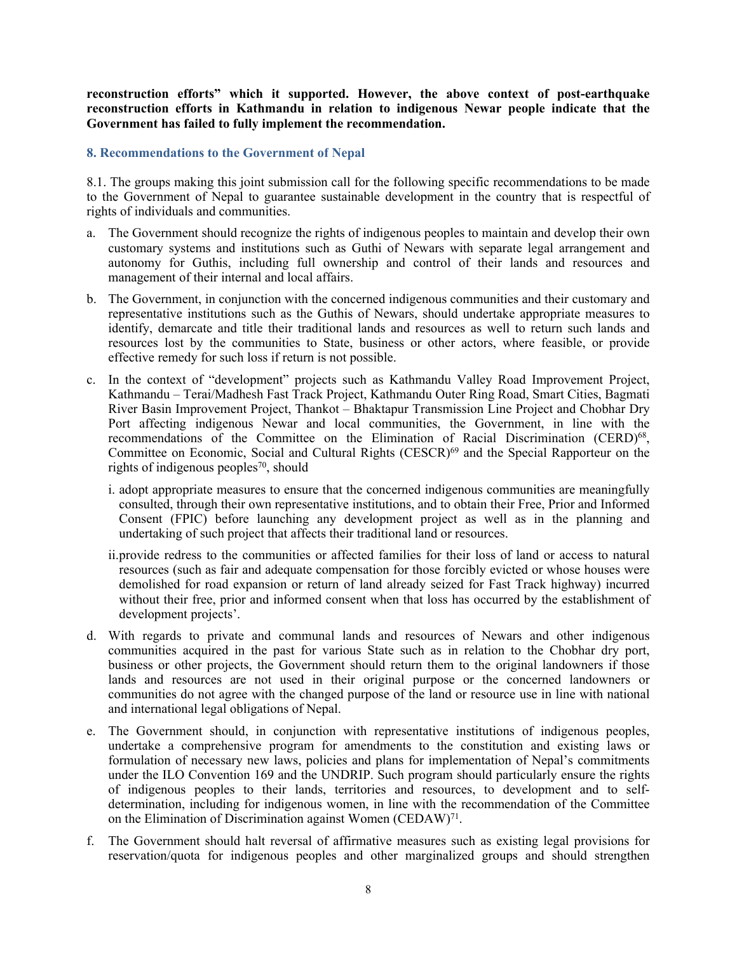**reconstruction efforts" which it supported. However, the above context of post-earthquake reconstruction efforts in Kathmandu in relation to indigenous Newar people indicate that the Government has failed to fully implement the recommendation.**

#### **8. Recommendations to the Government of Nepal**

8.1. The groups making this joint submission call for the following specific recommendations to be made to the Government of Nepal to guarantee sustainable development in the country that is respectful of rights of individuals and communities.

- a. The Government should recognize the rights of indigenous peoples to maintain and develop their own customary systems and institutions such as Guthi of Newars with separate legal arrangemen<sup>t</sup> and autonomy for Guthis, including full ownership and control of their lands and resources and managemen<sup>t</sup> of their internal and local affairs.
- b. The Government, in conjunction with the concerned indigenous communities and their customary and representative institutions such as the Guthis of Newars, should undertake appropriate measures to identify, demarcate and title their traditional lands and resources as well to return such lands and resources lost by the communities to State, business or other actors, where feasible, or provide effective remedy for such loss if return is not possible.
- c. In the context of "development" projects such as Kathmandu Valley Road Improvement Project, Kathmandu – Terai/Madhesh Fast Track Project, Kathmandu Outer Ring Road, Smart Cities, Bagmati River Basin Improvement Project, Thankot – Bhaktapur Transmission Line Project and Chobhar Dry Port affecting indigenous Newar and local communities, the Government, in line with the recommendations of the Committee on the Elimination of Racial Discrimination (CERD)<sup>68</sup>, Committee on Economic, Social and Cultural Rights (CESCR) 69 and the Special Rapporteur on the rights of indigenous peoples 70 , should
	- i. adopt appropriate measures to ensure that the concerned indigenous communities are meaningfully consulted, through their own representative institutions, and to obtain their Free, Prior and Informed Consent (FPIC) before launching any development project as well as in the planning and undertaking of such project that affects their traditional land or resources.
	- ii.provide redress to the communities or affected families for their loss of land or access to natural resources (such as fair and adequate compensation for those forcibly evicted or whose houses were demolished for road expansion or return of land already seized for Fast Track highway) incurred without their free, prior and informed consent when that loss has occurred by the establishment of development projects'.
- d. With regards to private and communal lands and resources of Newars and other indigenous communities acquired in the pas<sup>t</sup> for various State such as in relation to the Chobhar dry port, business or other projects, the Government should return them to the original landowners if those lands and resources are not used in their original purpose or the concerned landowners or communities do not agree with the changed purpose of the land or resource use in line with national and international legal obligations of Nepal.
- e. The Government should, in conjunction with representative institutions of indigenous peoples, undertake <sup>a</sup> comprehensive program for amendments to the constitution and existing laws or formulation of necessary new laws, policies and plans for implementation of Nepal'<sup>s</sup> commitments under the ILO Convention 169 and the UNDRIP. Such program should particularly ensure the rights of indigenous peoples to their lands, territories and resources, to development and to selfdetermination, including for indigenous women, in line with the recommendation of the Committee on the Elimination of Discrimination against Women (CEDAW)<sup>71</sup>.
- f. The Government should halt reversal of affirmative measures such as existing legal provisions for reservation/quota for indigenous peoples and other marginalized groups and should strengthen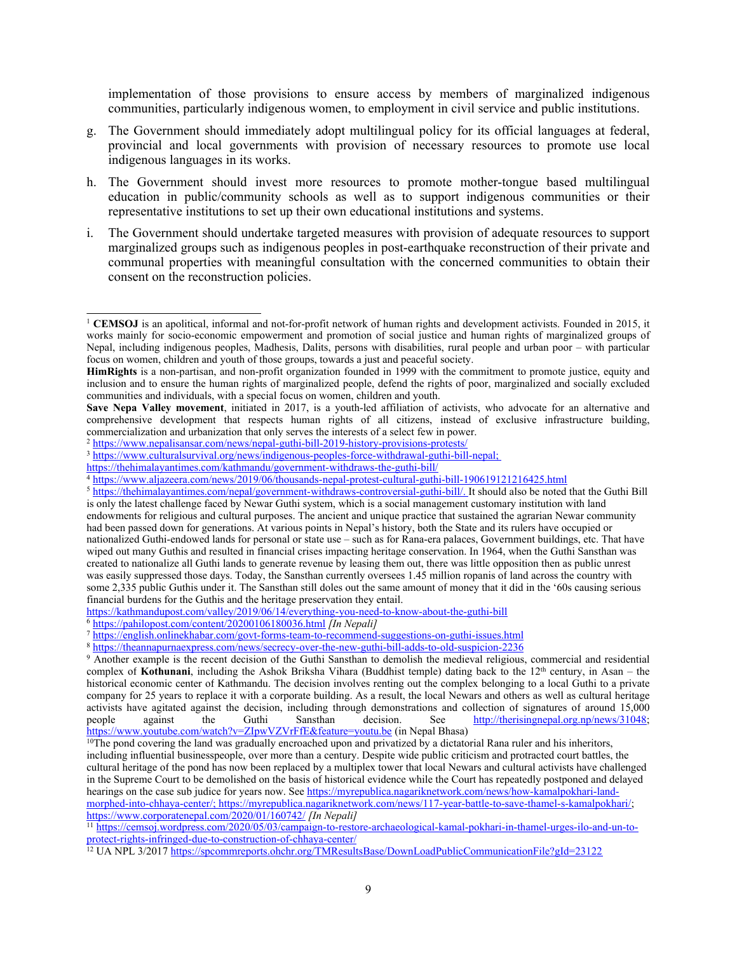implementation of those provisions to ensure access by members of marginalized indigenous communities, particularly indigenous women, to employment in civil service and public institutions.

- g. The Government should immediately adopt multilingual policy for its official languages at federal, provincial and local governments with provision of necessary resources to promote use local indigenous languages in its works.
- h. The Government should invest more resources to promote mother-tongue based multilingual education in public/community schools as well as to suppor<sup>t</sup> indigenous communities or their representative institutions to set up their own educational institutions and systems.
- i. The Government should undertake targeted measures with provision of adequate resources to suppor<sup>t</sup> marginalized groups such as indigenous peoples in post-earthquake reconstruction of their private and communal properties with meaningful consultation with the concerned communities to obtain their consent on the reconstruction policies.

<sup>2</sup> <https://www.nepalisansar.com/news/nepal-guthi-bill-2019-history-provisions-protests/>

<sup>3</sup> <https://www.culturalsurvival.org/news/indigenous-peoples-force-withdrawal-guthi-bill-nepal>;

<https://thehimalayantimes.com/kathmandu/government-withdraws-the-guthi-bill/>

<https://kathmandupost.com/valley/2019/06/14/everything-you-need-to-know-about-the-guthi-bill>

- 
- 6 <https://pahilopost.com/content/20200106180036.html> *[In Nepali]* 7 <https://english.onlinekhabar.com/govt-forms-team-to-recommend-suggestions-on-guthi-issues.html>

8 <https://theannapurnaexpress.com/news/secrecy-over-the-new-guthi-bill-adds-to-old-suspicion-2236>

11 [https://cemsoj.wordpress.com/2020/05/03/campaign-to-restore-archaeological-kamal-pokhari-in-thamel-urges-ilo-and-un-to](https://cemsoj.wordpress.com/2020/05/03/campaign-to-restore-archaeological-kamal-pokhari-in-thamel-urges-ilo-and-un-to-protect-rights-infringed-due-to-construction-of-chhaya-center/)pro[tect-rights-infringed-due-to-construction-of-chhaya-center/](https://cemsoj.wordpress.com/2020/05/03/campaign-to-restore-archaeological-kamal-pokhari-in-thamel-urges-ilo-and-un-to-protect-rights-infringed-due-to-construction-of-chhaya-center/)

<sup>12</sup> UA NPL 3/2017 <https://spcommreports.ohchr.org/TMResultsBase/DownLoadPublicCommunicationFile?gId=23122>

<sup>&</sup>lt;sup>1</sup> CEMSOJ is an apolitical, informal and not-for-profit network of human rights and development activists. Founded in 2015, it works mainly for socio-economic empowermen<sup>t</sup> and promotion of social justice and human rights of marginalized groups of Nepal, including indigenous peoples, Madhesis, Dalits, persons with disabilities, rural people and urban poor – with particular focus on women, children and youth of those groups, towards <sup>a</sup> just and peaceful society.

**HimRights** is <sup>a</sup> non-partisan, and non-profit organization founded in 1999 with the commitment to promote justice, equity and inclusion and to ensure the human rights of marginalized people, defend the rights of poor, marginalized and socially excluded communities and individuals, with <sup>a</sup> special focus on women, children and youth.

**Save Nepa Valley movement**, initiated in 2017, is <sup>a</sup> youth-led affiliation of activists, who advocate for an alternative and comprehensive development that respects human rights of all citizens, instead of exclusive infrastructure building, commercialization and urbanization that only serves the interests of <sup>a</sup> select few in power.

<sup>4</sup> <https://www.aljazeera.com/news/2019/06/thousands-nepal-protest-cultural-guthi-bill-190619121216425.html>

<sup>&</sup>lt;sup>5</sup> <https://thehimalayantimes.com/nepal/government-withdraws-controversial-guthi-bill/>. It should also be noted that the Guthi Bill is only the latest challenge faced by Newar Guthi system, which is <sup>a</sup> social managemen<sup>t</sup> customary institution with land endowments for religious and cultural purposes. The ancient and unique practice that sustained the agrarian Newar community had been passed down for generations. At various points in Nepal'<sup>s</sup> history, both the State and its rulers have occupied or nationalized Guthi-endowed lands for personal or state use – such as for Rana-era palaces, Government buildings, etc. That have wiped out many Guthis and resulted in financial crises impacting heritage conservation. In 1964, when the Guthi Sansthan was created to nationalize all Guthi lands to generate revenue by leasing them out, there was little opposition then as public unrest was easily suppressed those days. Today, the Sansthan currently oversees 1.45 million ropanis of land across the country with some 2,335 public Guthis under it. The Sansthan still doles out the same amount of money that it did in the '60s causing serious financial burdens for the Guthis and the heritage preservation they entail.

<sup>9</sup> Another example is the recent decision of the Guthi Sansthan to demolish the medieval religious, commercial and residential complex of Kothunani, including the Ashok Briksha Vihara (Buddhist temple) dating back to the 12<sup>th</sup> century, in Asan – the historical economic center of Kathmandu. The decision involves renting out the complex belonging to <sup>a</sup> local Guthi to <sup>a</sup> private company for 25 years to replace it with <sup>a</sup> corporate building. As <sup>a</sup> result, the local Newars and others as well as cultural heritage activists have agitated against the decision, including through demonstrations and collection of signatures of around 15,000 people against the Guthi Sansthan decision. See http://therisingnepal.org.np/news/31048; against the Guthi Sansthan decision. See <http://therisingnepal.org.np/news/31048>; <https://www.youtube.com/watch?v=ZIpwVZVrFfE&feature=youtu.be> (in Nepal Bhasa)

<sup>&</sup>lt;sup>10</sup>The pond covering the land was gradually encroached upon and privatized by a dictatorial Rana ruler and his inheritors, including influential businesspeople, over more than <sup>a</sup> century. Despite wide public criticism and protracted court battles, the cultural heritage of the pond has now been replaced by <sup>a</sup> multiplex tower that local Newars and cultural activists have challenged in the Supreme Court to be demolished on the basis of historical evidence while the Court has repeatedly postponed and delayed hearings on the case sub judice for years now. See [https://myrepublica.nagariknetwork.com/news/how-kamalpokhari-land](https://myrepublica.nagariknetwork.com/news/how-kamalpokhari-land-morphed-into-chhaya-center/)morp[hed-into-chhaya-center/](https://myrepublica.nagariknetwork.com/news/how-kamalpokhari-land-morphed-into-chhaya-center/); <https://myrepublica.nagariknetwork.com/news/117-year-battle-to-save-thamel-s-kamalpokhari/>; <https://www.corporatenepal.com/2020/01/160742/> *[In Nepali]*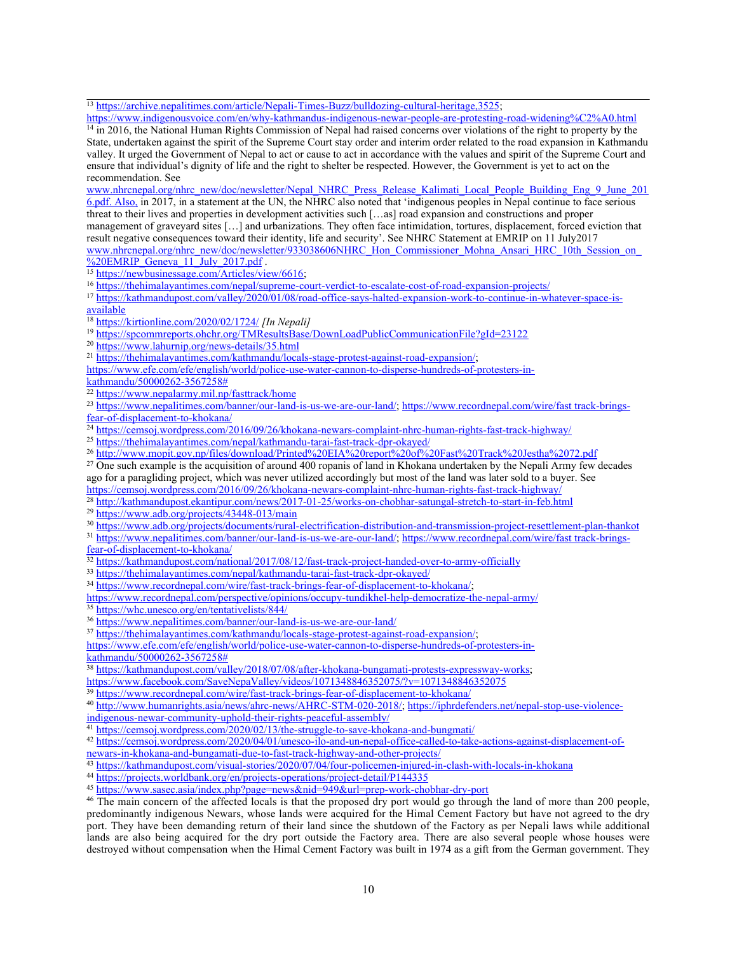<sup>13</sup> <https://archive.nepalitimes.com/article/Nepali-Times-Buzz/bulldozing-cultural-heritage,3525>;

<https://www.indigenousvoice.com/en/why-kathmandus-indigenous-newar-people-are-protesting-road-widening%C2%A0.html> <sup>14</sup> in 2016, the National Human Rights Commission of Nepal had raised concerns over violations of the right to property by the State, undertaken against the spirit of the Supreme Court stay order and interim order related to the road expansion in Kathmandu valley. It urged the Government of Nepal to act or cause to act in accordance with the values and spirit of the Supreme Court and ensure that individual'<sup>s</sup> dignity of life and the right to shelter be respected. However, the Government is ye<sup>t</sup> to act on the recommendation. See

[www.nhrcnepal.org/nhrc\\_new/doc/newsletter/Nepal\\_NHRC\\_Press\\_Release\\_Kalimati\\_Local\\_People\\_Building\\_Eng\\_9\\_June\\_201](http://www.nhrcnepal.org/nhrc_new/doc/newsletter/Nepal_NHRC_Press_Release_Kalimati_Local_People_Building_Eng_9_June_2016.pdf) [6.pdf](http://www.nhrcnepal.org/nhrc_new/doc/newsletter/Nepal_NHRC_Press_Release_Kalimati_Local_People_Building_Eng_9_June_2016.pdf). Also, in 2017, in <sup>a</sup> statement at the UN, the NHRC also noted that 'indigenous peoples in Nepal continue to face serious threat to their lives and properties in development activities such […as] road expansion and constructions and proper managemen<sup>t</sup> of graveyard sites […] and urbanizations. They often face intimidation, tortures, displacement, forced eviction that result negative consequences toward their identity, life and security'. See NHRC Statement at EMRIP on 11 July2017 www.nhrcnepal.org/nhrc\_new/doc/newsletter/933038606NHRC\_Hon\_Commissioner\_Mohna\_Ansari\_HRC\_10th\_Session\_on %20EMRIP Geneva 11 July 2017.pdf.

<sup>15</sup> <https://newbusinessage.com/Articles/view/6616>;

<sup>16</sup> <https://thehimalayantimes.com/nepal/supreme-court-verdict-to-escalate-cost-of-road-expansion-projects/><br><sup>17</sup> https://kathmandupost.com/valley/2020/01/08/road-office-says-halted-expansion-work-to-continue-in-whatever-sp [available](https://kathmandupost.com/valley/2020/01/08/road-office-says-halted-expansion-work-to-continue-in-whatever-space-is-available)

18 <https://kirtionline.com/2020/02/1724/> *[In Nepali]*

<sup>19</sup> <https://spcommreports.ohchr.org/TMResultsBase/DownLoadPublicCommunicationFile?gId=23122>

<sup>20</sup> <https://www.lahurnip.org/news-details/35.html>

<sup>21</sup> <https://thehimalayantimes.com/kathmandu/locals-stage-protest-against-road-expansion/>;

[https://www.efe.com/efe/english/world/police-use-water-cannon-to-disperse-hundreds-of-protesters-in-](https://www.efe.com/efe/english/world/police-use-water-cannon-to-disperse-hundreds-of-protesters-in-kathmandu/50000262-3567258)

[kathmandu/50000262-3567258#](https://www.efe.com/efe/english/world/police-use-water-cannon-to-disperse-hundreds-of-protesters-in-kathmandu/50000262-3567258)

<sup>22</sup> <https://www.nepalarmy.mil.np/fasttrack/home>

23 <https://www.nepalitimes.com/banner/our-land-is-us-we-are-our-land/>; [https://www.recordnepal.com/wire/fast](https://www.recordnepal.com/wire/fast%20track-brings-fear-of-displacement-to-khokana/) track-brings-

[fear-of-displacement-to-khokana/](https://www.recordnepal.com/wire/fast%20track-brings-fear-of-displacement-to-khokana/)<br><sup>24</sup> <https://cemsoj.wordpress.com/2016/09/26/khokana-newars-complaint-nhrc-human-rights-fast-track-highway/>

<sup>25</sup> <https://thehimalayantimes.com/nepal/kathmandu-tarai-fast-track-dpr-okayed/>

26 <http://www.mopit.gov.np/files/download/Printed%20EIA%20report%20of%20Fast%20Track%20Jestha%2072.pdf>

 $27$  One such example is the acquisition of around 400 ropanis of land in Khokana undertaken by the Nepali Army few decades ago for <sup>a</sup> paragliding project, which was never utilized accordingly but most of the land was later sold to <sup>a</sup> buyer. See

<https://cemsoj.wordpress.com/2016/09/26/khokana-newars-complaint-nhrc-human-rights-fast-track-highway/> 28 <http://kathmandupost.ekantipur.com/news/2017-01-25/works-on-chobhar-satungal-stretch-to-start-in-feb.html>

<sup>29</sup> <https://www.adb.org/projects/43448-013/main>

30 <https://www.adb.org/projects/documents/rural-electrification-distribution-and-transmission-project-resettlement-plan-thankot>

31 <https://www.nepalitimes.com/banner/our-land-is-us-we-are-our-land/>; [https://www.recordnepal.com/wire/fast](https://www.recordnepal.com/wire/fast%20track-brings-fear-of-displacement-to-khokana/) track-brings-

[fear-of-displacement-to-khokana/](https://www.recordnepal.com/wire/fast%20track-brings-fear-of-displacement-to-khokana/)

32 <https://kathmandupost.com/national/2017/08/12/fast-track-project-handed-over-to-army-officially>

<sup>33</sup> <https://thehimalayantimes.com/nepal/kathmandu-tarai-fast-track-dpr-okayed/>

<sup>34</sup> <https://www.recordnepal.com/wire/fast-track-brings-fear-of-displacement-to-khokana/>;

<https://www.recordnepal.com/perspective/opinions/occupy-tundikhel-help-democratize-the-nepal-army/>

<sup>35</sup> <https://whc.unesco.org/en/tentativelists/844/>

<sup>36</sup> <https://www.nepalitimes.com/banner/our-land-is-us-we-are-our-land/>

37 <https://thehimalayantimes.com/kathmandu/locals-stage-protest-against-road-expansion/>;

[https://www.efe.com/efe/english/world/police-use-water-cannon-to-disperse-hundreds-of-protesters-in](https://www.efe.com/efe/english/world/police-use-water-cannon-to-disperse-hundreds-of-protesters-in-kathmandu/50000262-3567258)[kathmandu/50000262-3567258#](https://www.efe.com/efe/english/world/police-use-water-cannon-to-disperse-hundreds-of-protesters-in-kathmandu/50000262-3567258)

38 <https://kathmandupost.com/valley/2018/07/08/after-khokana-bungamati-protests-expressway-works>;

<https://www.facebook.com/SaveNepaValley/videos/1071348846352075/?v=1071348846352075>

<sup>39</sup> <https://www.recordnepal.com/wire/fast-track-brings-fear-of-displacement-to-khokana/>

40 <http://www.humanrights.asia/news/ahrc-news/AHRC-STM-020-2018/>; [https://iphrdefenders.net/nepal-stop-use-violence](https://iphrdefenders.net/nepal-stop-use-violence-indigenous-newar-community-uphold-their-rights-peaceful-assembly/)[indigenous-newar-community-uphold-their-rights-peaceful-assembly/](https://iphrdefenders.net/nepal-stop-use-violence-indigenous-newar-community-uphold-their-rights-peaceful-assembly/)

<sup>41</sup> <https://cemsoj.wordpress.com/2020/02/13/the-struggle-to-save-khokana-and-bungmati/>

42 [https://cemsoj.wordpress.com/2020/04/01/unesco-ilo-and-un-nepal-office-called-to-take-actions-against-displacement-of](https://cemsoj.wordpress.com/2020/04/01/unesco-ilo-and-un-nepal-office-called-to-take-actions-against-displacement-of-newars-in-khokana-and-bungamati-due-to-fast-track-highway-and-other-projects/)[newars-in-khokana-and-bungamati-due-to-fast-track-highway-and-other-projects/](https://cemsoj.wordpress.com/2020/04/01/unesco-ilo-and-un-nepal-office-called-to-take-actions-against-displacement-of-newars-in-khokana-and-bungamati-due-to-fast-track-highway-and-other-projects/)

43 <https://kathmandupost.com/visual-stories/2020/07/04/four-policemen-injured-in-clash-with-locals-in-khokana>

<sup>44</sup> <https://projects.worldbank.org/en/projects-operations/project-detail/P144335>

45 <https://www.sasec.asia/index.php?page=news&nid=949&url=prep-work-chobhar-dry-port>

<sup>46</sup> The main concern of the affected locals is that the proposed dry port would go through the land of more than 200 people, predominantly indigenous Newars, whose lands were acquired for the Himal Cement Factory but have not agreed to the dry port. They have been demanding return of their land since the shutdown of the Factory as per Nepali laws while additional lands are also being acquired for the dry por<sup>t</sup> outside the Factory area. There are also several people whose houses were destroyed without compensation when the Himal Cement Factory was built in 1974 as <sup>a</sup> gift from the German government. They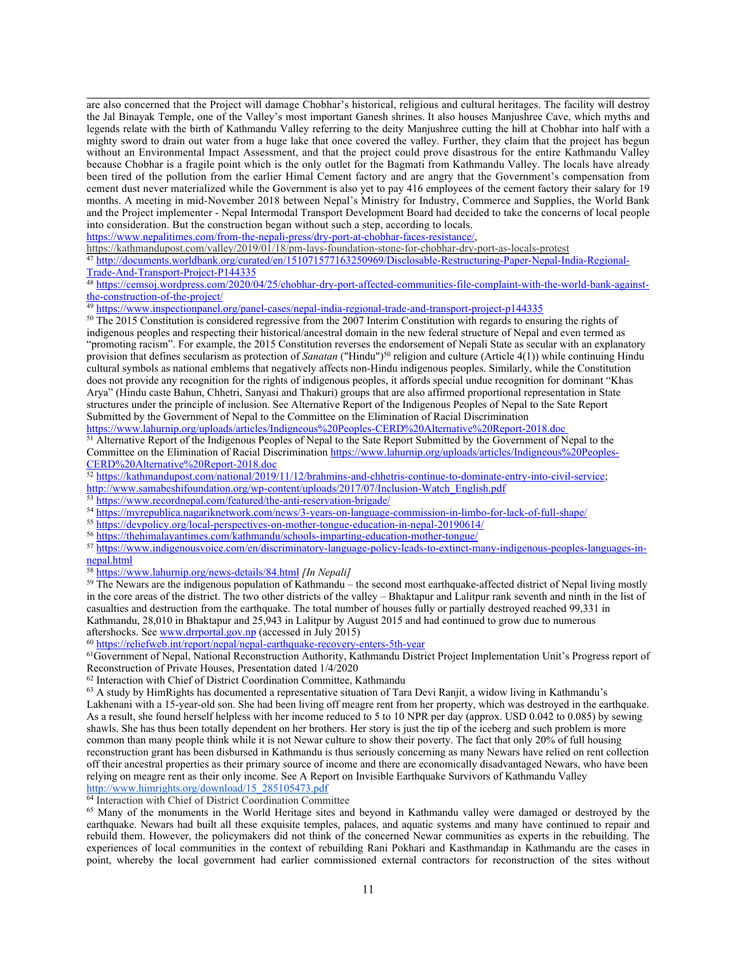are also concerned that the Project will damage Chobhar'<sup>s</sup> historical, religious and cultural heritages. The facility will destroy the Jal Binayak Temple, one of the Valley'<sup>s</sup> most important Ganesh shrines. It also houses Manjushree Cave, which myths and legends relate with the birth of Kathmandu Valley referring to the deity Manjushree cutting the hill at Chobhar into half with <sup>a</sup> mighty sword to drain out water from <sup>a</sup> huge lake that once covered the valley. Further, they claim that the project has begun without an Environmental Impact Assessment, and that the project could prove disastrous for the entire Kathmandu Valley because Chobhar is <sup>a</sup> fragile point which is the only outlet for the Bagmati from Kathmandu Valley. The locals have already been tired of the pollution from the earlier Himal Cement factory and are angry that the Government'<sup>s</sup> compensation from cement dust never materialized while the Government is also ye<sup>t</sup> to pay 416 employees of the cement factory their salary for 19 months. A meeting in mid-November 2018 between Nepal'<sup>s</sup> Ministry for Industry, Commerce and Supplies, the World Bank and the Project implementer - Nepal Intermodal Transport Development Board had decided to take the concerns of local people into consideration. But the construction began without such <sup>a</sup> step, according to locals.

<https://www.nepalitimes.com/from-the-nepali-press/dry-port-at-chobhar-faces-resistance/>,

<https://kathmandupost.com/valley/2019/01/18/pm-lays-foundation-stone-for-chobhar-dry-port-as-locals-protest>

47 [http://documents.worldbank.org/curated/en/151071577163250969/Disclosable-Restructuring-Paper-Nepal-India-Regional-](http://documents.worldbank.org/curated/en/151071577163250969/Disclosable-Restructuring-Paper-Nepal-India-Regional-Trade-And-Transport-Project-P144335)[Trade-And-Transport-Project-P144335](http://documents.worldbank.org/curated/en/151071577163250969/Disclosable-Restructuring-Paper-Nepal-India-Regional-Trade-And-Transport-Project-P144335)

48 [https://cemsoj.wordpress.com/2020/04/25/chobhar-dry-port-affected-communities-file-complaint-with-the-world-bank-against-](https://cemsoj.wordpress.com/2020/04/25/chobhar-dry-port-affected-communities-file-complaint-with-the-world-bank-against-the-construction-of-the-project/)

[the-construction-of-the-project/](https://cemsoj.wordpress.com/2020/04/25/chobhar-dry-port-affected-communities-file-complaint-with-the-world-bank-against-the-construction-of-the-project/)<br><sup>49</sup> <https://www.inspectionpanel.org/panel-cases/nepal-india-regional-trade-and-transport-project-p144335><br><sup>50</sup> The 2015 Constitution is considered regressive from the 2007 Interim Constitut

<sup>50</sup> The 2015 Constitution is considered regressive from the 2007 Interim Constitution with regards to ensuring the rights of indigenous peoples and respecting their historical/ancestral domain in the new federal structure of Nepal and even termed as "promoting racism". For example, the 2015 Constitution reverses the endorsement of Nepali State as secular with an explanatory provision that defines secularism as protection of *Sanatan* ("Hindu") 50 religion and culture (Article 4(1)) while continuing Hindu cultural symbols as national emblems that negatively affects non-Hindu indigenous peoples. Similarly, while the Constitution does not provide any recognition for the rights of indigenous peoples, it affords special undue recognition for dominant "Khas Arya" (Hindu caste Bahun, Chhetri, Sanyasi and Thakuri) groups that are also affirmed proportional representation in State structures under the principle of inclusion. See Alternative Report of the Indigenous Peoples of Nepal to the Sate Report Submitted by the Government of Nepal to the Committee on the Elimination of Racial Discrimination

<https://www.lahurnip.org/uploads/articles/Indigneous%20Peoples-CERD%20Alternative%20Report-2018.doc>

<sup>51</sup> Alternative Report of the Indigenous Peoples of Nepal to the Sate Report Submitted by the Government of Nepal to the Committee on the Elimination of Racial Discrimination [https://www.lahurnip.org/uploads/articles/Indigneous%20Peoples-](https://www.lahurnip.org/uploads/articles/Indigneous%20Peoples-CERD%20Alternative%20Report-2018.doc)

[CERD%20Alternative%20Report-2018.doc](https://www.lahurnip.org/uploads/articles/Indigneous%20Peoples-CERD%20Alternative%20Report-2018.doc) 52 <https://kathmandupost.com/national/2019/11/12/brahmins-and-chhetris-continue-to-dominate-entry-into-civil-service>; [http://www.samabeshifoundation.org/wp-content/uploads/2017/07/Inclusion-Watch\\_English.pdf](http://www.samabeshifoundation.org/wp-content/uploads/2017/07/Inclusion-Watch_English.pdf)

<sup>53</sup> <https://www.recordnepal.com/featured/the-anti-reservation-brigade/>

- 54 <https://myrepublica.nagariknetwork.com/news/3-years-on-language-commission-in-limbo-for-lack-of-full-shape/>
- <sup>55</sup> <https://devpolicy.org/local-perspectives-on-mother-tongue-education-in-nepal-20190614/>

<sup>56</sup> <https://thehimalayantimes.com/kathmandu/schools-imparting-education-mother-tongue/>

57 [https://www.indigenousvoice.com/en/discriminatory-language-policy-leads-to-extinct-many-indigenous-peoples-languages-in-](https://www.indigenousvoice.com/en/discriminatory-language-policy-leads-to-extinct-many-indigenous-peoples-languages-in-nepal.html)

nepa[l.html](https://www.indigenousvoice.com/en/discriminatory-language-policy-leads-to-extinct-many-indigenous-peoples-languages-in-nepal.html) 58 <https://www.lahurnip.org/news-details/84.html> *[In Nepali]*

<sup>59</sup> The Newars are the indigenous population of Kathmandu – the second most earthquake-affected district of Nepal living mostly in the core areas of the district. The two other districts of the valley – Bhaktapur and Lalitpur rank seventh and ninth in the list of casualties and destruction from the earthquake. The total number of houses fully or partially destroyed reached 99,331 in Kathmandu, 28,010 in Bhaktapur and 25,943 in Lalitpur by August 2015 and had continued to grow due to numerous aftershocks. See [www.drrportal.gov.np](http://www.drrportal.gov.np) (accessed in July 2015)

<sup>60</sup> <https://reliefweb.int/report/nepal/nepal-earthquake-recovery-enters-5th-year>

<sup>61</sup>Government of Nepal, National Reconstruction Authority, Kathmandu District Project Implementation Unit'<sup>s</sup> Progress repor<sup>t</sup> of Reconstruction of Private Houses, Presentation dated 1/4/2020

 $62$  Interaction with Chief of District Coordination Committee, Kathmandu

<sup>63</sup> <sup>A</sup> study by HimRights has documented <sup>a</sup> representative situation of Tara Devi Ranjit, <sup>a</sup> widow living in Kathmandu'<sup>s</sup> Lakhenani with <sup>a</sup> 15-year-old son. She had been living off meagre rent from her property, which was destroyed in the earthquake. As <sup>a</sup> result, she found herself helpless with her income reduced to 5 to 10 NPR per day (approx. USD 0.042 to 0.085) by sewing shawls. She has thus been totally dependent on her brothers. Her story is just the tip of the iceberg and such problem is more common than many people think while it is not Newar culture to show their poverty. The fact that only 20% of full housing reconstruction gran<sup>t</sup> has been disbursed in Kathmandu is thus seriously concerning as many Newars have relied on rent collection off their ancestral properties as their primary source of income and there are economically disadvantaged Newars, who have been relying on meagre rent as their only income. See A Report on Invisible Earthquake Survivors of Kathmandu Valley [http://www.himrights.org/download/15\\_285105473.pdf](http://www.himrights.org/download/15_285105473.pdf)

64 Interaction with Chief of District Coordination Committee

<sup>65</sup> Many of the monuments in the World Heritage sites and beyond in Kathmandu valley were damaged or destroyed by the earthquake. Newars had built all these exquisite temples, palaces, and aquatic systems and many have continued to repair and rebuild them. However, the policymakers did not think of the concerned Newar communities as experts in the rebuilding. The experiences of local communities in the context of rebuilding Rani Pokhari and Kasthmandap in Kathmandu are the cases in point, whereby the local governmen<sup>t</sup> had earlier commissioned external contractors for reconstruction of the sites without